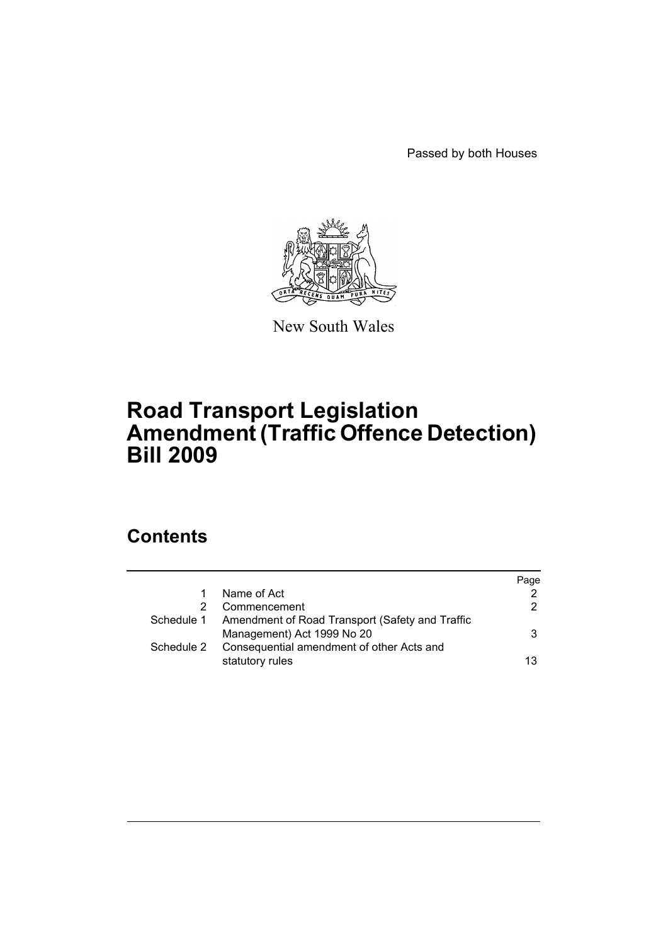Passed by both Houses



New South Wales

# **Road Transport Legislation Amendment (Traffic Offence Detection) Bill 2009**

# **Contents**

|            |                                                 | Page |
|------------|-------------------------------------------------|------|
|            | Name of Act                                     | 2    |
|            | Commencement                                    | 2    |
| Schedule 1 | Amendment of Road Transport (Safety and Traffic |      |
|            | Management) Act 1999 No 20                      | 3    |
| Schedule 2 | Consequential amendment of other Acts and       |      |
|            | statutory rules                                 | 13   |
|            |                                                 |      |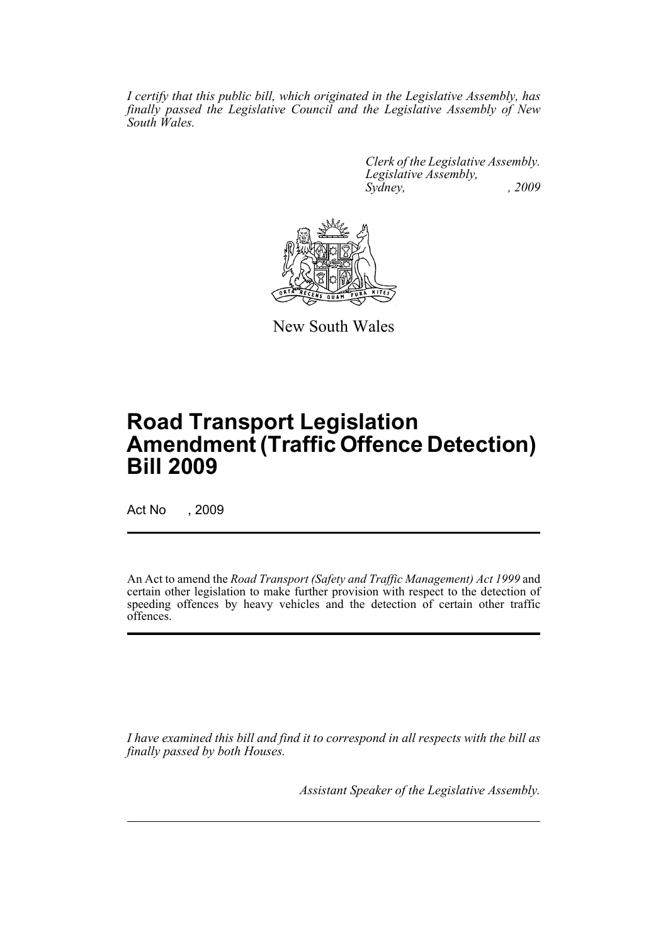*I certify that this public bill, which originated in the Legislative Assembly, has finally passed the Legislative Council and the Legislative Assembly of New South Wales.*

> *Clerk of the Legislative Assembly. Legislative Assembly, Sydney, , 2009*



New South Wales

# **Road Transport Legislation Amendment (Traffic Offence Detection) Bill 2009**

Act No , 2009

An Act to amend the *Road Transport (Safety and Traffic Management) Act 1999* and certain other legislation to make further provision with respect to the detection of speeding offences by heavy vehicles and the detection of certain other traffic offences.

*I have examined this bill and find it to correspond in all respects with the bill as finally passed by both Houses.*

*Assistant Speaker of the Legislative Assembly.*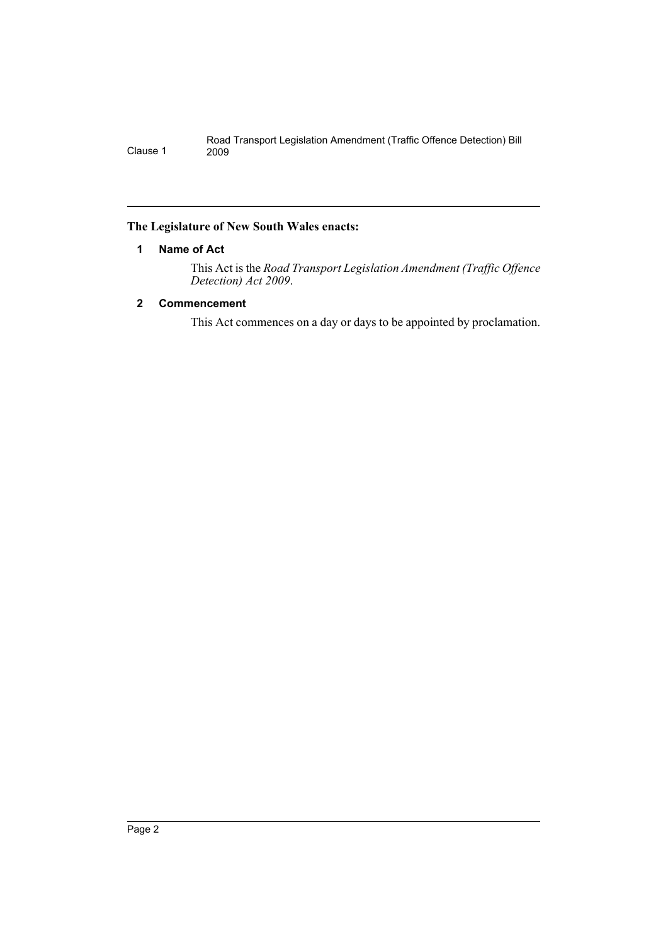## <span id="page-2-0"></span>**The Legislature of New South Wales enacts:**

## **1 Name of Act**

This Act is the *Road Transport Legislation Amendment (Traffic Offence Detection) Act 2009*.

## <span id="page-2-1"></span>**2 Commencement**

This Act commences on a day or days to be appointed by proclamation.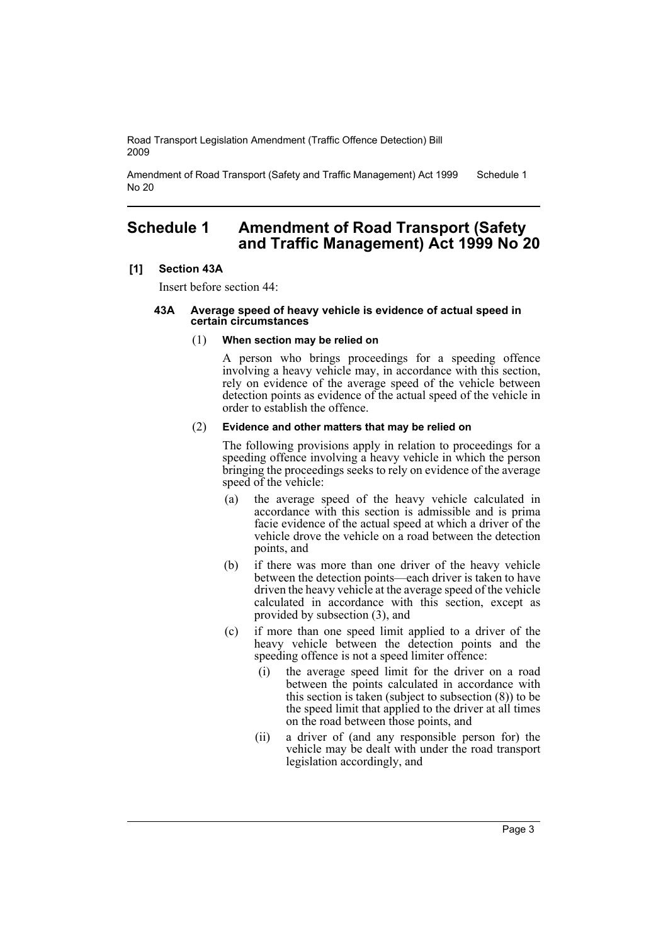Amendment of Road Transport (Safety and Traffic Management) Act 1999 No 20 Schedule 1

# <span id="page-3-0"></span>**Schedule 1 Amendment of Road Transport (Safety and Traffic Management) Act 1999 No 20**

### **[1] Section 43A**

Insert before section 44:

#### **43A Average speed of heavy vehicle is evidence of actual speed in certain circumstances**

### (1) **When section may be relied on**

A person who brings proceedings for a speeding offence involving a heavy vehicle may, in accordance with this section, rely on evidence of the average speed of the vehicle between detection points as evidence of the actual speed of the vehicle in order to establish the offence.

### (2) **Evidence and other matters that may be relied on**

The following provisions apply in relation to proceedings for a speeding offence involving a heavy vehicle in which the person bringing the proceedings seeks to rely on evidence of the average speed of the vehicle:

- (a) the average speed of the heavy vehicle calculated in accordance with this section is admissible and is prima facie evidence of the actual speed at which a driver of the vehicle drove the vehicle on a road between the detection points, and
- (b) if there was more than one driver of the heavy vehicle between the detection points—each driver is taken to have driven the heavy vehicle at the average speed of the vehicle calculated in accordance with this section, except as provided by subsection (3), and
- (c) if more than one speed limit applied to a driver of the heavy vehicle between the detection points and the speeding offence is not a speed limiter offence:
	- (i) the average speed limit for the driver on a road between the points calculated in accordance with this section is taken (subject to subsection  $(8)$ ) to be the speed limit that applied to the driver at all times on the road between those points, and
	- (ii) a driver of (and any responsible person for) the vehicle may be dealt with under the road transport legislation accordingly, and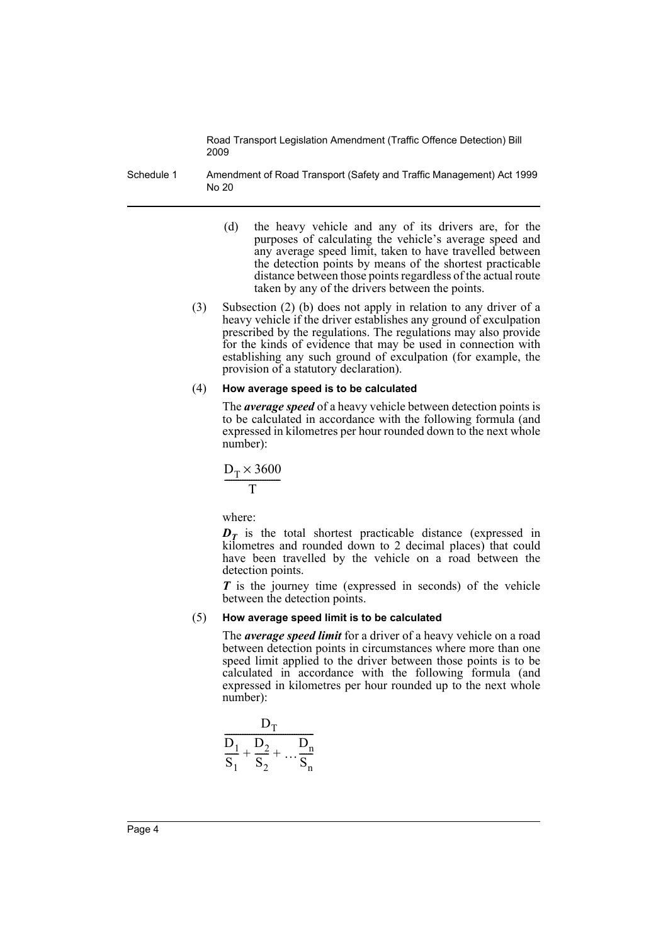Schedule 1 Amendment of Road Transport (Safety and Traffic Management) Act 1999 No 20

- (d) the heavy vehicle and any of its drivers are, for the purposes of calculating the vehicle's average speed and any average speed limit, taken to have travelled between the detection points by means of the shortest practicable distance between those points regardless of the actual route taken by any of the drivers between the points.
- (3) Subsection (2) (b) does not apply in relation to any driver of a heavy vehicle if the driver establishes any ground of exculpation prescribed by the regulations. The regulations may also provide for the kinds of evidence that may be used in connection with establishing any such ground of exculpation (for example, the provision of a statutory declaration).

#### (4) **How average speed is to be calculated**

The *average speed* of a heavy vehicle between detection points is to be calculated in accordance with the following formula (and expressed in kilometres per hour rounded down to the next whole number):

$$
\frac{D_T \times 3600}{T}
$$

where:

 $D<sub>T</sub>$  is the total shortest practicable distance (expressed in kilometres and rounded down to 2 decimal places) that could have been travelled by the vehicle on a road between the detection points.

*T* is the journey time (expressed in seconds) of the vehicle between the detection points.

#### (5) **How average speed limit is to be calculated**

The *average speed limit* for a driver of a heavy vehicle on a road between detection points in circumstances where more than one speed limit applied to the driver between those points is to be calculated in accordance with the following formula (and expressed in kilometres per hour rounded up to the next whole number):

$$
\frac{D_T}{S_1 + \frac{D_2}{S_2} + \dots + \frac{D_n}{S_n}}
$$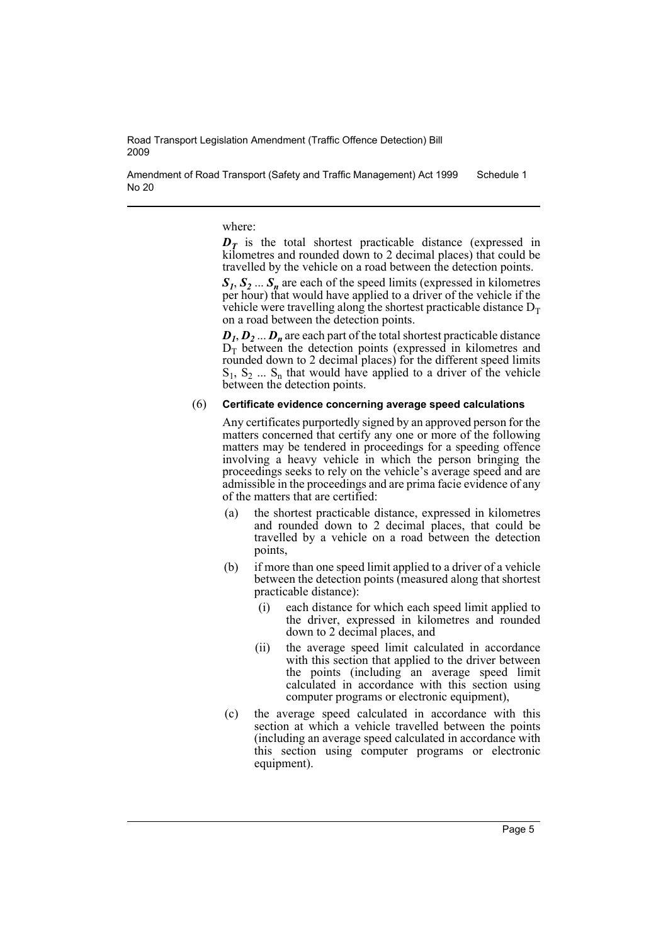Amendment of Road Transport (Safety and Traffic Management) Act 1999 No 20 Schedule 1

where:

 $D<sub>T</sub>$  is the total shortest practicable distance (expressed in kilometres and rounded down to 2 decimal places) that could be travelled by the vehicle on a road between the detection points.

 $S_1, S_2, \ldots, S_n$  are each of the speed limits (expressed in kilometres per hour) that would have applied to a driver of the vehicle if the vehicle were travelling along the shortest practicable distance  $D<sub>T</sub>$ on a road between the detection points.

 $D_1, D_2, \ldots, D_n$  are each part of the total shortest practicable distance  $D<sub>T</sub>$  between the detection points (expressed in kilometres and rounded down to 2 decimal places) for the different speed limits  $S_1, S_2, \ldots, S_n$  that would have applied to a driver of the vehicle between the detection points.

#### (6) **Certificate evidence concerning average speed calculations**

Any certificates purportedly signed by an approved person for the matters concerned that certify any one or more of the following matters may be tendered in proceedings for a speeding offence involving a heavy vehicle in which the person bringing the proceedings seeks to rely on the vehicle's average speed and are admissible in the proceedings and are prima facie evidence of any of the matters that are certified:

- (a) the shortest practicable distance, expressed in kilometres and rounded down to 2 decimal places, that could be travelled by a vehicle on a road between the detection points,
- (b) if more than one speed limit applied to a driver of a vehicle between the detection points (measured along that shortest practicable distance):
	- (i) each distance for which each speed limit applied to the driver, expressed in kilometres and rounded down to 2 decimal places, and
	- (ii) the average speed limit calculated in accordance with this section that applied to the driver between the points (including an average speed limit calculated in accordance with this section using computer programs or electronic equipment),
- (c) the average speed calculated in accordance with this section at which a vehicle travelled between the points (including an average speed calculated in accordance with this section using computer programs or electronic equipment).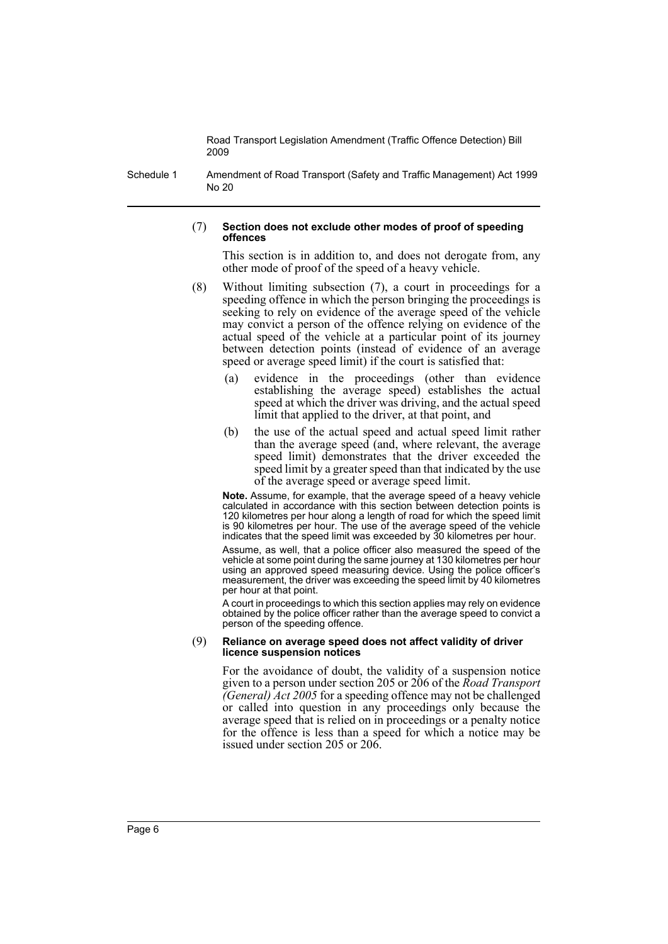Schedule 1 Amendment of Road Transport (Safety and Traffic Management) Act 1999 No 20

#### (7) **Section does not exclude other modes of proof of speeding offences**

This section is in addition to, and does not derogate from, any other mode of proof of the speed of a heavy vehicle.

- (8) Without limiting subsection (7), a court in proceedings for a speeding offence in which the person bringing the proceedings is seeking to rely on evidence of the average speed of the vehicle may convict a person of the offence relying on evidence of the actual speed of the vehicle at a particular point of its journey between detection points (instead of evidence of an average speed or average speed limit) if the court is satisfied that:
	- (a) evidence in the proceedings (other than evidence establishing the average speed) establishes the actual speed at which the driver was driving, and the actual speed limit that applied to the driver, at that point, and
	- (b) the use of the actual speed and actual speed limit rather than the average speed (and, where relevant, the average speed limit) demonstrates that the driver exceeded the speed limit by a greater speed than that indicated by the use of the average speed or average speed limit.

**Note.** Assume, for example, that the average speed of a heavy vehicle calculated in accordance with this section between detection points is 120 kilometres per hour along a length of road for which the speed limit is 90 kilometres per hour. The use of the average speed of the vehicle indicates that the speed limit was exceeded by 30 kilometres per hour.

Assume, as well, that a police officer also measured the speed of the vehicle at some point during the same journey at 130 kilometres per hour using an approved speed measuring device. Using the police officer's measurement, the driver was exceeding the speed limit by 40 kilometres per hour at that point.

A court in proceedings to which this section applies may rely on evidence obtained by the police officer rather than the average speed to convict a person of the speeding offence.

#### (9) **Reliance on average speed does not affect validity of driver licence suspension notices**

For the avoidance of doubt, the validity of a suspension notice given to a person under section 205 or 206 of the *Road Transport (General) Act 2005* for a speeding offence may not be challenged or called into question in any proceedings only because the average speed that is relied on in proceedings or a penalty notice for the offence is less than a speed for which a notice may be issued under section 205 or 206.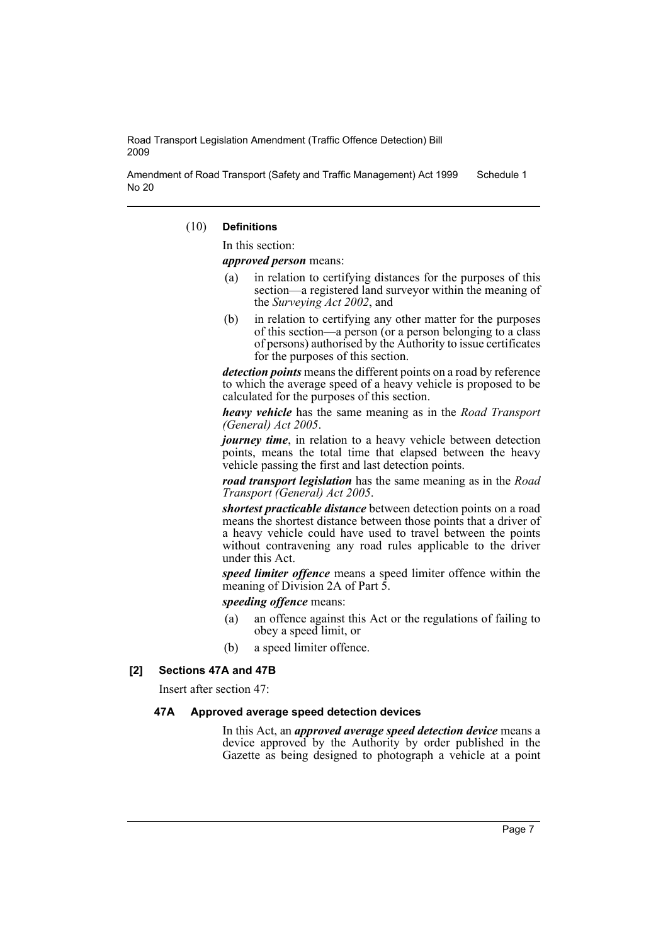Amendment of Road Transport (Safety and Traffic Management) Act 1999 No 20 Schedule 1

#### (10) **Definitions**

In this section:

*approved person* means:

- (a) in relation to certifying distances for the purposes of this section—a registered land surveyor within the meaning of the *Surveying Act 2002*, and
- (b) in relation to certifying any other matter for the purposes of this section—a person (or a person belonging to a class of persons) authorised by the Authority to issue certificates for the purposes of this section.

*detection points* means the different points on a road by reference to which the average speed of a heavy vehicle is proposed to be calculated for the purposes of this section.

*heavy vehicle* has the same meaning as in the *Road Transport (General) Act 2005*.

*journey time*, in relation to a heavy vehicle between detection points, means the total time that elapsed between the heavy vehicle passing the first and last detection points.

*road transport legislation* has the same meaning as in the *Road Transport (General) Act 2005*.

*shortest practicable distance* between detection points on a road means the shortest distance between those points that a driver of a heavy vehicle could have used to travel between the points without contravening any road rules applicable to the driver under this Act.

*speed limiter offence* means a speed limiter offence within the meaning of Division 2A of Part 5.

*speeding offence* means:

- (a) an offence against this Act or the regulations of failing to obey a speed limit, or
- (b) a speed limiter offence.

## **[2] Sections 47A and 47B**

Insert after section 47:

#### **47A Approved average speed detection devices**

In this Act, an *approved average speed detection device* means a device approved by the Authority by order published in the Gazette as being designed to photograph a vehicle at a point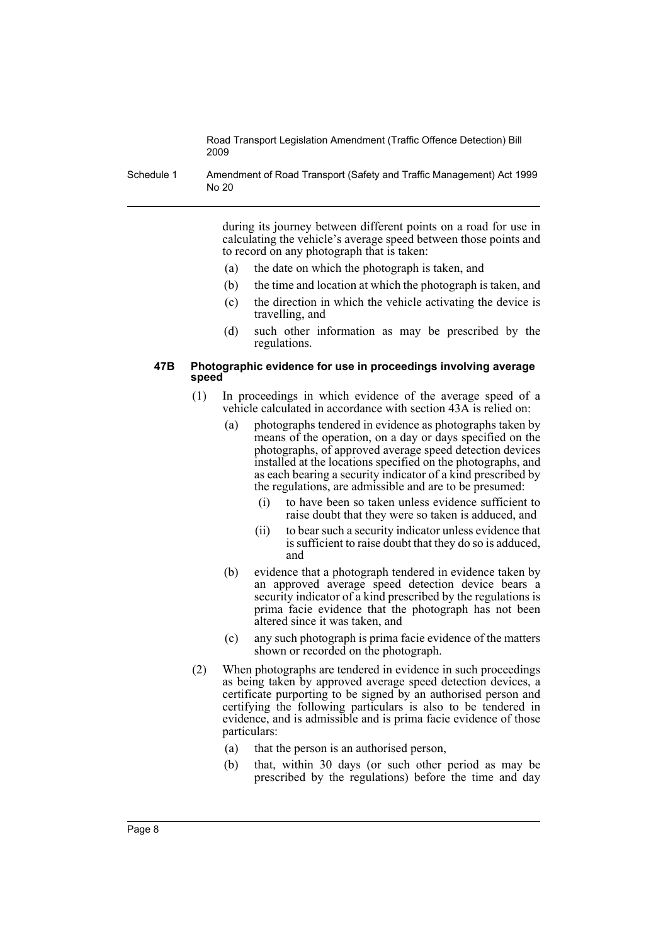Schedule 1 Amendment of Road Transport (Safety and Traffic Management) Act 1999 No 20

> during its journey between different points on a road for use in calculating the vehicle's average speed between those points and to record on any photograph that is taken:

- (a) the date on which the photograph is taken, and
- (b) the time and location at which the photograph is taken, and
- (c) the direction in which the vehicle activating the device is travelling, and
- (d) such other information as may be prescribed by the regulations.

### **47B Photographic evidence for use in proceedings involving average speed**

- (1) In proceedings in which evidence of the average speed of a vehicle calculated in accordance with section 43A is relied on:
	- (a) photographs tendered in evidence as photographs taken by means of the operation, on a day or days specified on the photographs, of approved average speed detection devices installed at the locations specified on the photographs, and as each bearing a security indicator of a kind prescribed by the regulations, are admissible and are to be presumed:
		- (i) to have been so taken unless evidence sufficient to raise doubt that they were so taken is adduced, and
		- (ii) to bear such a security indicator unless evidence that is sufficient to raise doubt that they do so is adduced, and
	- (b) evidence that a photograph tendered in evidence taken by an approved average speed detection device bears a security indicator of a kind prescribed by the regulations is prima facie evidence that the photograph has not been altered since it was taken, and
	- (c) any such photograph is prima facie evidence of the matters shown or recorded on the photograph.
- (2) When photographs are tendered in evidence in such proceedings as being taken by approved average speed detection devices, a certificate purporting to be signed by an authorised person and certifying the following particulars is also to be tendered in evidence, and is admissible and is prima facie evidence of those particulars:
	- (a) that the person is an authorised person,
	- (b) that, within 30 days (or such other period as may be prescribed by the regulations) before the time and day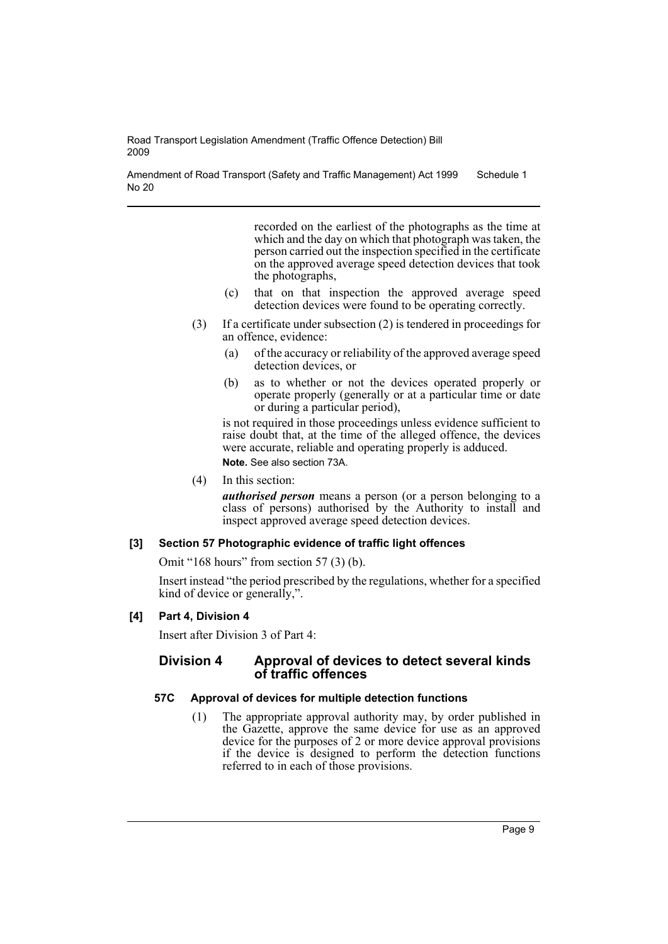Amendment of Road Transport (Safety and Traffic Management) Act 1999 No 20 Schedule 1

> recorded on the earliest of the photographs as the time at which and the day on which that photograph was taken, the person carried out the inspection specified in the certificate on the approved average speed detection devices that took the photographs,

- (c) that on that inspection the approved average speed detection devices were found to be operating correctly.
- (3) If a certificate under subsection (2) is tendered in proceedings for an offence, evidence:
	- (a) of the accuracy or reliability of the approved average speed detection devices, or
	- (b) as to whether or not the devices operated properly or operate properly (generally or at a particular time or date or during a particular period),

is not required in those proceedings unless evidence sufficient to raise doubt that, at the time of the alleged offence, the devices were accurate, reliable and operating properly is adduced. **Note.** See also section 73A.

(4) In this section:

*authorised person* means a person (or a person belonging to a class of persons) authorised by the Authority to install and inspect approved average speed detection devices.

## **[3] Section 57 Photographic evidence of traffic light offences**

Omit "168 hours" from section 57 (3) (b).

Insert instead "the period prescribed by the regulations, whether for a specified kind of device or generally,".

## **[4] Part 4, Division 4**

Insert after Division 3 of Part 4:

## **Division 4 Approval of devices to detect several kinds of traffic offences**

## **57C Approval of devices for multiple detection functions**

(1) The appropriate approval authority may, by order published in the Gazette, approve the same device for use as an approved device for the purposes of 2 or more device approval provisions if the device is designed to perform the detection functions referred to in each of those provisions.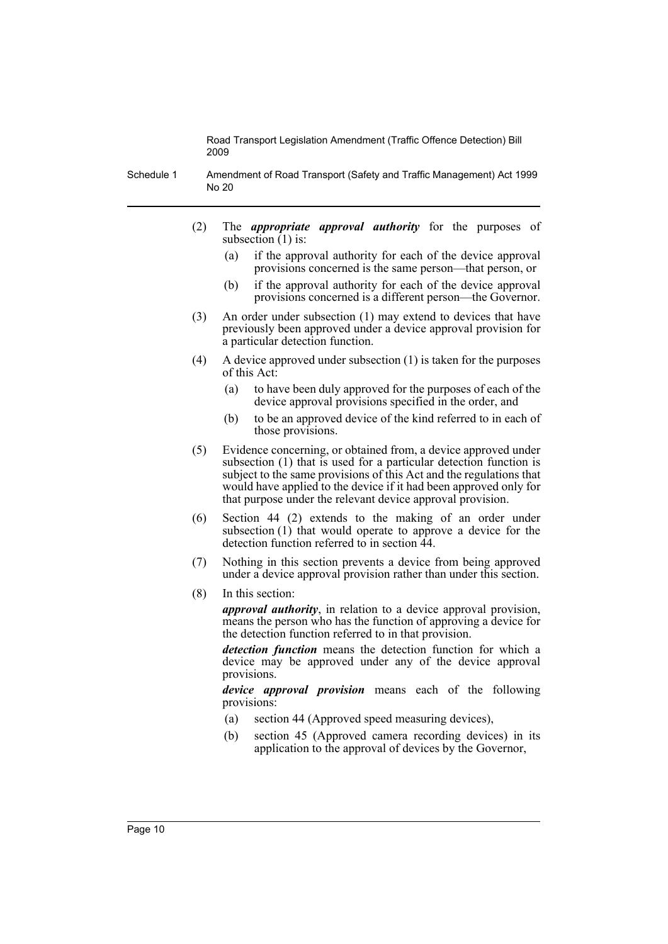Schedule 1 Amendment of Road Transport (Safety and Traffic Management) Act 1999 No 20

- (2) The *appropriate approval authority* for the purposes of subsection  $(1)$  is:
	- (a) if the approval authority for each of the device approval provisions concerned is the same person—that person, or
	- (b) if the approval authority for each of the device approval provisions concerned is a different person—the Governor.
- (3) An order under subsection (1) may extend to devices that have previously been approved under a device approval provision for a particular detection function.
- (4) A device approved under subsection (1) is taken for the purposes of this Act:
	- (a) to have been duly approved for the purposes of each of the device approval provisions specified in the order, and
	- (b) to be an approved device of the kind referred to in each of those provisions.
- (5) Evidence concerning, or obtained from, a device approved under subsection (1) that is used for a particular detection function is subject to the same provisions of this Act and the regulations that would have applied to the device if it had been approved only for that purpose under the relevant device approval provision.
- (6) Section 44 (2) extends to the making of an order under subsection (1) that would operate to approve a device for the detection function referred to in section 44.
- (7) Nothing in this section prevents a device from being approved under a device approval provision rather than under this section.
- (8) In this section:

*approval authority*, in relation to a device approval provision, means the person who has the function of approving a device for the detection function referred to in that provision.

*detection function* means the detection function for which a device may be approved under any of the device approval provisions.

*device approval provision* means each of the following provisions:

- (a) section 44 (Approved speed measuring devices),
- (b) section 45 (Approved camera recording devices) in its application to the approval of devices by the Governor,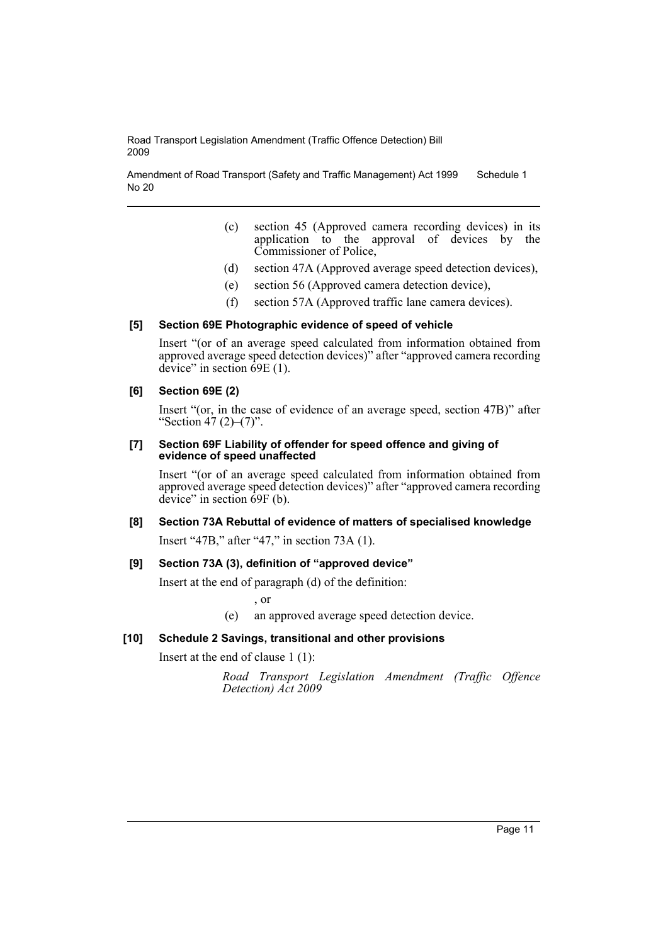Amendment of Road Transport (Safety and Traffic Management) Act 1999 No 20 Schedule 1

- (c) section 45 (Approved camera recording devices) in its application  $\overrightarrow{6}$  the approval of devices by the Commissioner of Police,
- (d) section 47A (Approved average speed detection devices),
- (e) section 56 (Approved camera detection device),
- (f) section 57A (Approved traffic lane camera devices).

#### **[5] Section 69E Photographic evidence of speed of vehicle**

Insert "(or of an average speed calculated from information obtained from approved average speed detection devices)" after "approved camera recording device" in section  $\hat{6}9E(1)$ .

#### **[6] Section 69E (2)**

Insert "(or, in the case of evidence of an average speed, section 47B)" after "Section 47 (2)–(7)".

#### **[7] Section 69F Liability of offender for speed offence and giving of evidence of speed unaffected**

Insert "(or of an average speed calculated from information obtained from approved average speed detection devices)" after "approved camera recording device" in section 69F (b).

## **[8] Section 73A Rebuttal of evidence of matters of specialised knowledge**

Insert "47B," after "47," in section 73A (1).

#### **[9] Section 73A (3), definition of "approved device"**

Insert at the end of paragraph (d) of the definition:

, or

(e) an approved average speed detection device.

#### **[10] Schedule 2 Savings, transitional and other provisions**

Insert at the end of clause 1 (1):

*Road Transport Legislation Amendment (Traffic Offence Detection) Act 2009*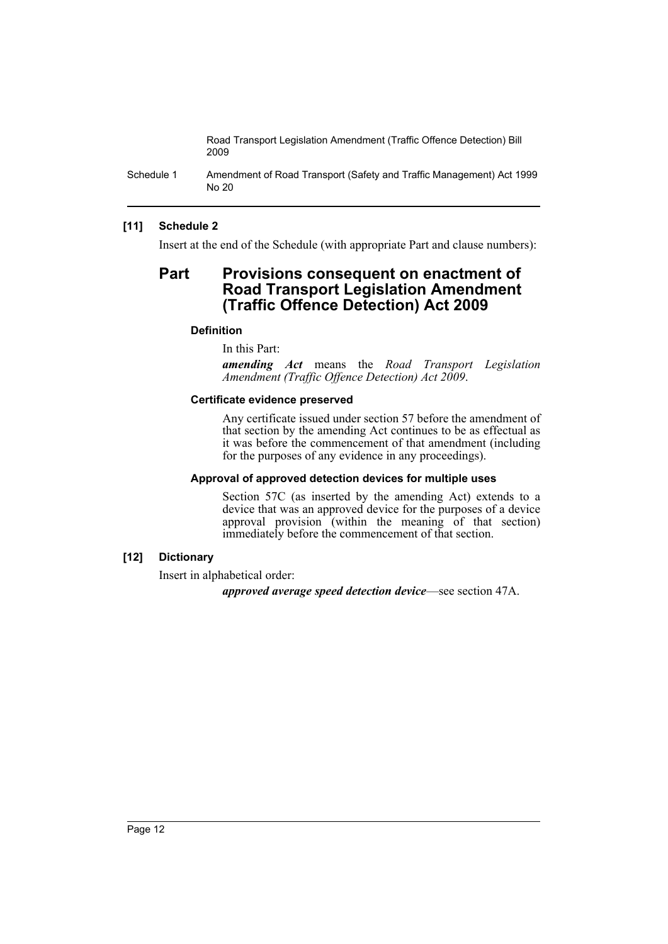Schedule 1 Amendment of Road Transport (Safety and Traffic Management) Act 1999 No 20

## **[11] Schedule 2**

Insert at the end of the Schedule (with appropriate Part and clause numbers):

# **Part Provisions consequent on enactment of Road Transport Legislation Amendment (Traffic Offence Detection) Act 2009**

### **Definition**

In this Part:

*amending Act* means the *Road Transport Legislation Amendment (Traffic Offence Detection) Act 2009*.

#### **Certificate evidence preserved**

Any certificate issued under section 57 before the amendment of that section by the amending Act continues to be as effectual as it was before the commencement of that amendment (including for the purposes of any evidence in any proceedings).

#### **Approval of approved detection devices for multiple uses**

Section 57C (as inserted by the amending Act) extends to a device that was an approved device for the purposes of a device approval provision (within the meaning of that section) immediately before the commencement of that section.

## **[12] Dictionary**

Insert in alphabetical order:

*approved average speed detection device*—see section 47A.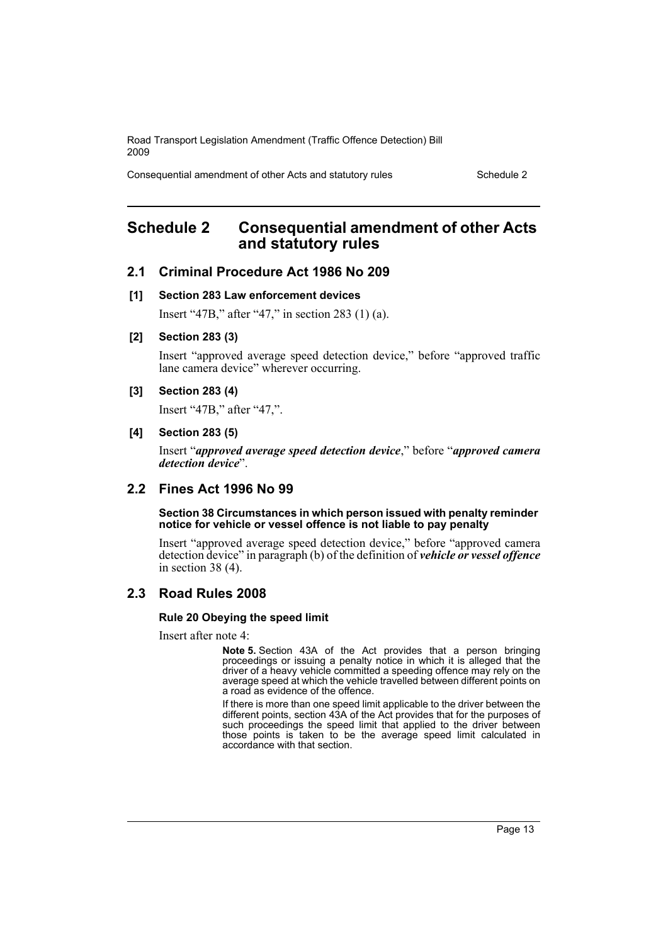Consequential amendment of other Acts and statutory rules Schedule 2

# <span id="page-13-0"></span>**Schedule 2 Consequential amendment of other Acts and statutory rules**

## **2.1 Criminal Procedure Act 1986 No 209**

### **[1] Section 283 Law enforcement devices**

Insert "47B," after "47," in section 283 (1) (a).

## **[2] Section 283 (3)**

Insert "approved average speed detection device," before "approved traffic lane camera device" wherever occurring.

## **[3] Section 283 (4)**

Insert "47B," after "47,".

### **[4] Section 283 (5)**

Insert "*approved average speed detection device*," before "*approved camera detection device*".

## **2.2 Fines Act 1996 No 99**

#### **Section 38 Circumstances in which person issued with penalty reminder notice for vehicle or vessel offence is not liable to pay penalty**

Insert "approved average speed detection device," before "approved camera detection device" in paragraph (b) of the definition of *vehicle or vessel offence* in section 38 (4).

## **2.3 Road Rules 2008**

#### **Rule 20 Obeying the speed limit**

Insert after note 4:

**Note 5.** Section 43A of the Act provides that a person bringing proceedings or issuing a penalty notice in which it is alleged that the driver of a heavy vehicle committed a speeding offence may rely on the average speed at which the vehicle travelled between different points on a road as evidence of the offence.

If there is more than one speed limit applicable to the driver between the different points, section 43A of the Act provides that for the purposes of such proceedings the speed limit that applied to the driver between those points is taken to be the average speed limit calculated in accordance with that section.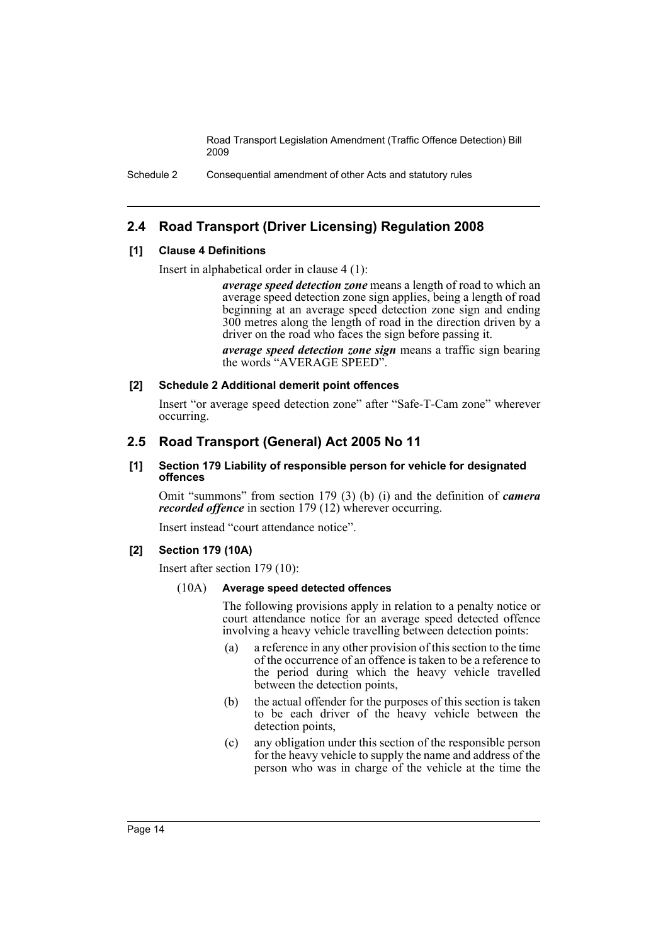Schedule 2 Consequential amendment of other Acts and statutory rules

## **2.4 Road Transport (Driver Licensing) Regulation 2008**

### **[1] Clause 4 Definitions**

Insert in alphabetical order in clause 4 (1):

*average speed detection zone* means a length of road to which an average speed detection zone sign applies, being a length of road beginning at an average speed detection zone sign and ending 300 metres along the length of road in the direction driven by a driver on the road who faces the sign before passing it.

*average speed detection zone sign* means a traffic sign bearing the words "AVERAGE SPEED".

### **[2] Schedule 2 Additional demerit point offences**

Insert "or average speed detection zone" after "Safe-T-Cam zone" wherever occurring.

## **2.5 Road Transport (General) Act 2005 No 11**

#### **[1] Section 179 Liability of responsible person for vehicle for designated offences**

Omit "summons" from section 179 (3) (b) (i) and the definition of *camera recorded offence* in section 179 (12) wherever occurring.

Insert instead "court attendance notice".

## **[2] Section 179 (10A)**

Insert after section 179 (10):

#### (10A) **Average speed detected offences**

The following provisions apply in relation to a penalty notice or court attendance notice for an average speed detected offence involving a heavy vehicle travelling between detection points:

- (a) a reference in any other provision of this section to the time of the occurrence of an offence is taken to be a reference to the period during which the heavy vehicle travelled between the detection points,
- (b) the actual offender for the purposes of this section is taken to be each driver of the heavy vehicle between the detection points,
- (c) any obligation under this section of the responsible person for the heavy vehicle to supply the name and address of the person who was in charge of the vehicle at the time the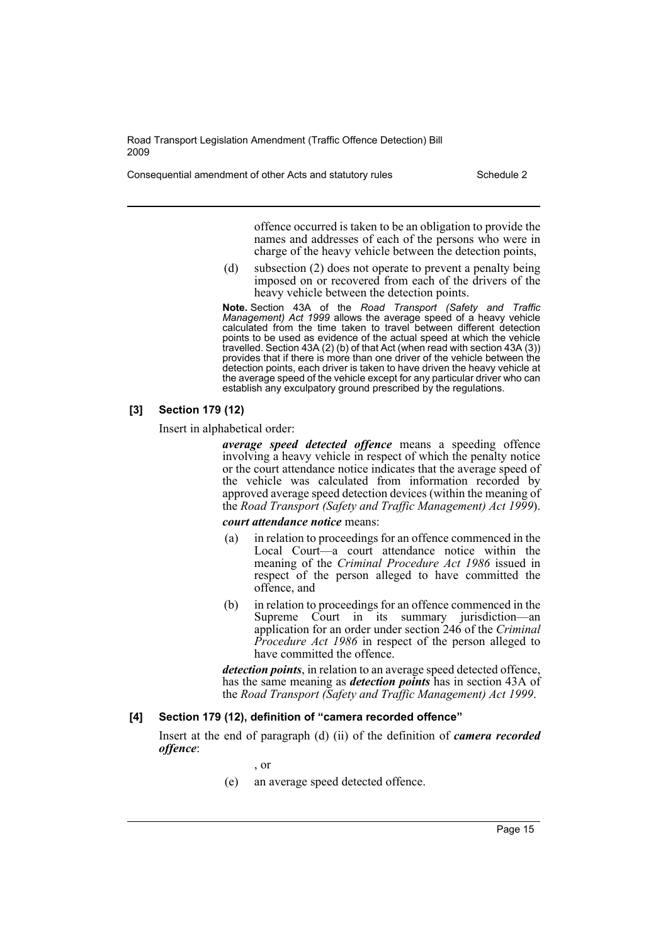Consequential amendment of other Acts and statutory rules Schedule 2

offence occurred is taken to be an obligation to provide the names and addresses of each of the persons who were in charge of the heavy vehicle between the detection points,

(d) subsection (2) does not operate to prevent a penalty being imposed on or recovered from each of the drivers of the heavy vehicle between the detection points.

**Note.** Section 43A of the *Road Transport (Safety and Traffic Management) Act 1999* allows the average speed of a heavy vehicle calculated from the time taken to travel between different detection points to be used as evidence of the actual speed at which the vehicle travelled. Section 43A (2) (b) of that Act (when read with section 43A (3)) provides that if there is more than one driver of the vehicle between the detection points, each driver is taken to have driven the heavy vehicle at the average speed of the vehicle except for any particular driver who can establish any exculpatory ground prescribed by the regulations.

### **[3] Section 179 (12)**

Insert in alphabetical order:

*average speed detected offence* means a speeding offence involving a heavy vehicle in respect of which the penalty notice or the court attendance notice indicates that the average speed of the vehicle was calculated from information recorded by approved average speed detection devices (within the meaning of the *Road Transport (Safety and Traffic Management) Act 1999*).

### *court attendance notice* means:

- (a) in relation to proceedings for an offence commenced in the Local Court—a court attendance notice within the meaning of the *Criminal Procedure Act 1986* issued in respect of the person alleged to have committed the offence, and
- (b) in relation to proceedings for an offence commenced in the Supreme Court in its summary jurisdiction—an application for an order under section 246 of the *Criminal Procedure Act 1986* in respect of the person alleged to have committed the offence.

*detection points*, in relation to an average speed detected offence, has the same meaning as *detection points* has in section 43A of the *Road Transport (Safety and Traffic Management) Act 1999*.

#### **[4] Section 179 (12), definition of "camera recorded offence"**

Insert at the end of paragraph (d) (ii) of the definition of *camera recorded offence*:

- , or
- (e) an average speed detected offence.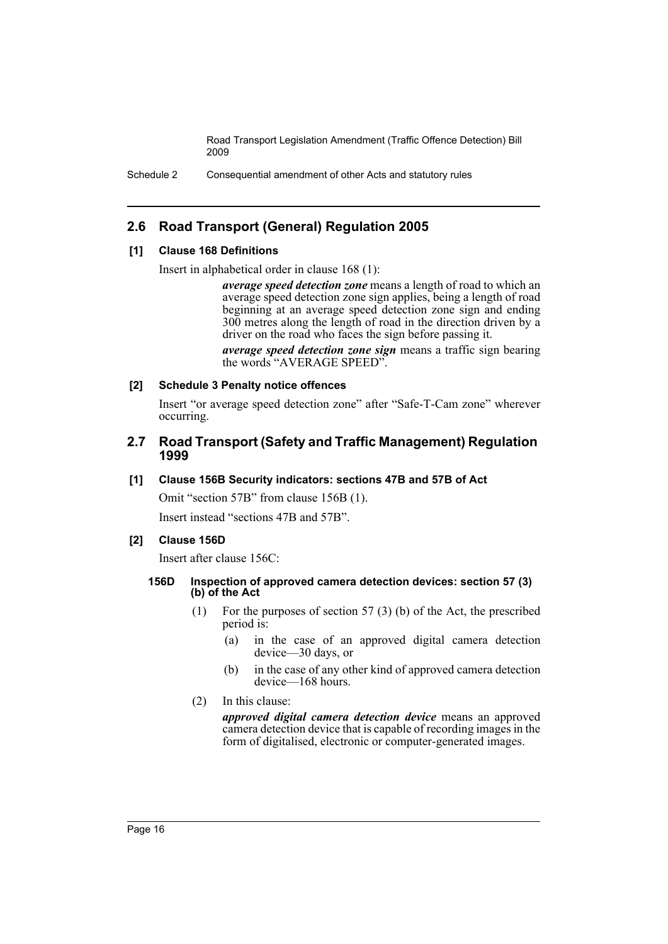Schedule 2 Consequential amendment of other Acts and statutory rules

## **2.6 Road Transport (General) Regulation 2005**

### **[1] Clause 168 Definitions**

Insert in alphabetical order in clause 168 (1):

*average speed detection zone* means a length of road to which an average speed detection zone sign applies, being a length of road beginning at an average speed detection zone sign and ending 300 metres along the length of road in the direction driven by a driver on the road who faces the sign before passing it.

*average speed detection zone sign* means a traffic sign bearing the words "AVERAGE SPEED".

### **[2] Schedule 3 Penalty notice offences**

Insert "or average speed detection zone" after "Safe-T-Cam zone" wherever occurring.

## **2.7 Road Transport (Safety and Traffic Management) Regulation 1999**

#### **[1] Clause 156B Security indicators: sections 47B and 57B of Act**

Omit "section 57B" from clause 156B (1).

Insert instead "sections 47B and 57B".

#### **[2] Clause 156D**

Insert after clause 156C:

### **156D Inspection of approved camera detection devices: section 57 (3) (b) of the Act**

- (1) For the purposes of section 57 (3) (b) of the Act, the prescribed period is:
	- (a) in the case of an approved digital camera detection device—30 days, or
	- (b) in the case of any other kind of approved camera detection device—168 hours.
- (2) In this clause:

*approved digital camera detection device* means an approved camera detection device that is capable of recording images in the form of digitalised, electronic or computer-generated images.